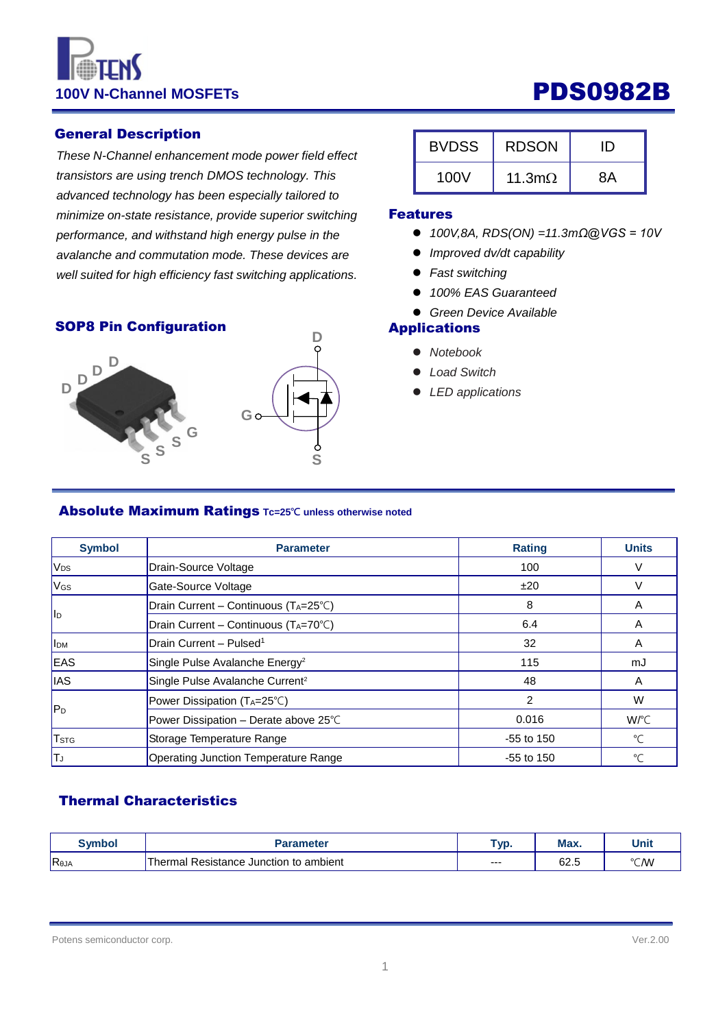# 100V N-Channel MOSFETs **PDS0982B**

#### General Description

*These N-Channel enhancement mode power field effect transistors are using trench DMOS technology. This advanced technology has been especially tailored to minimize on-state resistance, provide superior switching performance, and withstand high energy pulse in the avalanche and commutation mode. These devices are well suited for high efficiency fast switching applications.*

#### SOP8 Pin Configuration



| <b>BVDSS</b> | <b>RDSON</b>   | ID |
|--------------|----------------|----|
| 100V         | 11.3m $\Omega$ | RΑ |

#### Features

- *100V,8A, RDS(ON) =11.3mΩ@VGS = 10V*
- *Improved dv/dt capability*
- *Fast switching*
- *100% EAS Guaranteed*
- *Green Device Available*

### Applications

- *Notebook*
- *Load Switch*
- *LED applications*

#### Absolute Maximum Ratings **Tc=25℃ unless otherwise noted**

| <b>Symbol</b>            | <b>Parameter</b>                            | <b>Rating</b>  | <b>Units</b>         |
|--------------------------|---------------------------------------------|----------------|----------------------|
| V <sub>DS</sub>          | Drain-Source Voltage                        | 100            |                      |
| V <sub>GS</sub>          | Gate-Source Voltage                         | ±20            |                      |
|                          | Drain Current - Continuous (TA=25°C)        | 8              | A                    |
| II <sub>D</sub>          | Drain Current - Continuous (TA=70°C)        | 6.4            | A                    |
| <b>I</b> I <sub>DM</sub> | Drain Current - Pulsed <sup>1</sup>         | 32             | A                    |
| EAS                      | Single Pulse Avalanche Energy <sup>2</sup>  | 115            | mJ                   |
| <b>IAS</b>               | Single Pulse Avalanche Current <sup>2</sup> | 48             | A                    |
|                          | Power Dissipation (TA=25°C)                 | $\overline{2}$ | W                    |
| lP <sub>D</sub>          | Power Dissipation - Derate above 25°C       | 0.016          | W/°C                 |
| <b>T</b> <sub>STG</sub>  | Storage Temperature Range                   | $-55$ to 150   | $\mathrm{C}^{\circ}$ |
| IΤJ                      | <b>Operating Junction Temperature Range</b> | $-55$ to 150   | °C                   |

### Thermal Characteristics

| Svmbol | Parameter                                     | TVD. | Max. | Unit |
|--------|-----------------------------------------------|------|------|------|
| Reja   | l Resistance Junction to ambient<br>Thermal . | ---  | 62.5 | ℃⁄W  |

Potens semiconductor corp. Ver.2.00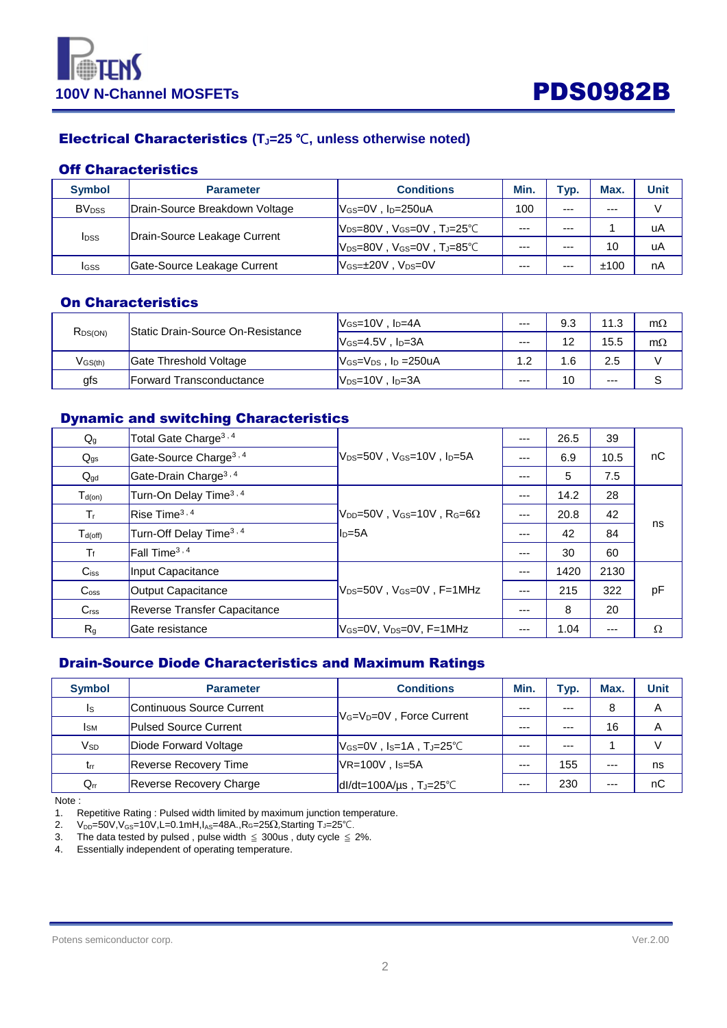



### Electrical Characteristics **(TJ=25** ℃**, unless otherwise noted)**

#### Off Characteristics

| <b>Symbol</b>            | <b>Parameter</b>               | <b>Conditions</b>                                        | Min.    | Typ.    | Max. | Unit |
|--------------------------|--------------------------------|----------------------------------------------------------|---------|---------|------|------|
| <b>BV</b> <sub>pss</sub> | Drain-Source Breakdown Voltage | lVേs=0V , Ip=250uA                                       | 100     | $---$   | ---  | V    |
| <b>I</b> <sub>DSS</sub>  | Drain-Source Leakage Current   | lVɒs=80V . Vɕs=0V . Tɹ=25℃                               | $- - -$ | $- - -$ |      | uA   |
|                          |                                | $V_{DS}=80V$ , $V_{GS}=0V$ , $T_J=85^{\circ}C$           | $- - -$ | $- - -$ | 10   | uA   |
| IGSS                     | Gate-Source Leakage Current    | $V$ <sub>GS=<math>\pm</math>20V, V<sub>DS=</sub>0V</sub> | $- - -$ | $- - -$ | ±100 | nA   |

### On Characteristics

| R <sub>DS(ON)</sub> | $V_{GS}=10V$ , $I_D=4A$<br><b>Static Drain-Source On-Resistance</b><br>$V$ <sub>GS</sub> =4.5V . $ID=3A$ | $--$                                                  | 9.3  | 11.3 | $m\Omega$ |           |
|---------------------|----------------------------------------------------------------------------------------------------------|-------------------------------------------------------|------|------|-----------|-----------|
|                     |                                                                                                          |                                                       | $--$ | 12   | 15.5      | $m\Omega$ |
| $V$ GS(th)          | Gate Threshold Voltage                                                                                   | $V$ <sub>GS</sub> = $V_{DS}$ , l <sub>D</sub> = 250uA | 1.2  | .6   | 2.5       |           |
| gfs                 | <b>Forward Transconductance</b>                                                                          | $V_{DS}=10V$ , $I_D=3A$                               | $--$ | 10   | $---$     |           |

#### Dynamic and switching Characteristics

| $Q_g$              | Total Gate Charge <sup>3, 4</sup>                                                                                                                                                      |                                                                        | $---$ | 26.5 | 39   |          |
|--------------------|----------------------------------------------------------------------------------------------------------------------------------------------------------------------------------------|------------------------------------------------------------------------|-------|------|------|----------|
| $Q_{gs}$           | Gate-Source Charge <sup>3, 4</sup><br>$ V_{DS}=50V$ , $V_{GS}=10V$ , $I_{D}=5A$                                                                                                        |                                                                        | ---   | 6.9  | 10.5 | nC       |
| $Q_{gd}$           | Gate-Drain Charge <sup>3, 4</sup>                                                                                                                                                      |                                                                        | $---$ | 5    | 7.5  |          |
| $T_{d(on)}$        | Turn-On Delay Time <sup>3, 4</sup>                                                                                                                                                     |                                                                        | $---$ | 14.2 | 28   |          |
| $T_{\rm f}$        | Rise Time <sup>3,4</sup>                                                                                                                                                               | $V_{\text{DD}}$ =50V, V <sub>GS</sub> =10V, R <sub>G</sub> =6 $\Omega$ | ---   | 20.8 | 42   | ns       |
| $T_{d(off)}$       | Turn-Off Delay Time <sup>3, 4</sup>                                                                                                                                                    | $Ib = 5A$                                                              |       | 42   | 84   |          |
| $T_f$              | Fall Time <sup>3,4</sup>                                                                                                                                                               |                                                                        | $---$ | 30   | 60   |          |
| $C$ <sub>iss</sub> | Input Capacitance                                                                                                                                                                      |                                                                        | $--$  | 1420 | 2130 |          |
| C <sub>oss</sub>   | $ {\mathsf V}_{\mathsf{DS}}\!\!=\!\!50{\mathsf V}$ , ${\mathsf V}_{\mathsf{GS}}\!\!=\!\!0{\mathsf V}$ , ${\mathsf F}\!\!=\!\!1{\mathsf M}{\mathsf H}{\mathsf z}$<br>Output Capacitance |                                                                        |       | 215  | 322  | pF       |
| C <sub>rss</sub>   | Reverse Transfer Capacitance                                                                                                                                                           |                                                                        | ---   | 8    | 20   |          |
| R <sub>g</sub>     | <b>IGate resistance</b>                                                                                                                                                                | lVേs=0V. Vns=0V. F=1MHz                                                | $---$ | 1.04 | ---  | $\Omega$ |

### Drain-Source Diode Characteristics and Maximum Ratings

| <b>Symbol</b>          | <b>Parameter</b>               | <b>Conditions</b>                                 |         | Typ.    | Max.  | Unit |
|------------------------|--------------------------------|---------------------------------------------------|---------|---------|-------|------|
| Is                     | Continuous Source Current      | V <sub>G</sub> =V <sub>D</sub> =0V, Force Current | ---     | $- - -$ | 8     | Α    |
| <b>I</b> <sub>SM</sub> | <b>Pulsed Source Current</b>   |                                                   | $- - -$ | $- - -$ | 16    | A    |
| Vsd                    | Diode Forward Voltage          | $V$ Gs=0V,Is=1A,T」=25°C                           | $- - -$ | $- - -$ |       | V    |
| $t_{rr}$               | <b>Reverse Recovery Time</b>   | $V$ R=100V, Is=5A                                 | $---$   | 155     | $---$ | ns   |
| $Q_{rr}$               | <b>Reverse Recovery Charge</b> | $dl/dt = 100A/\mu s$ , T <sub>J</sub> =25°C       | $---$   | 230     | $---$ | nC   |

Note :

1. Repetitive Rating : Pulsed width limited by maximum junction temperature.

2. V<sub>DD</sub>=50V, V<sub>GS</sub>=10V, L=0.1mH, I<sub>AS</sub>=48A., RG=25Ω, Starting TJ=25℃.

3. The data tested by pulsed , pulse width  $\leq$  300us , duty cycle  $\leq$  2%.

4. Essentially independent of operating temperature.

```
Potens semiconductor corp. Ver.2.00
```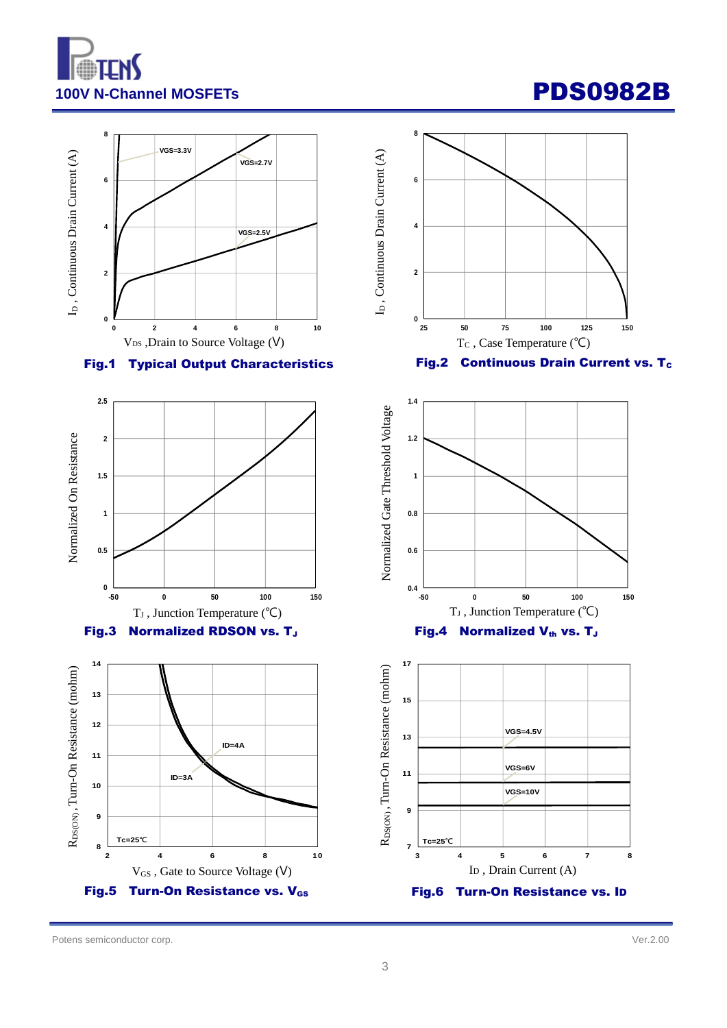



Potens semiconductor corp. Ver.2.00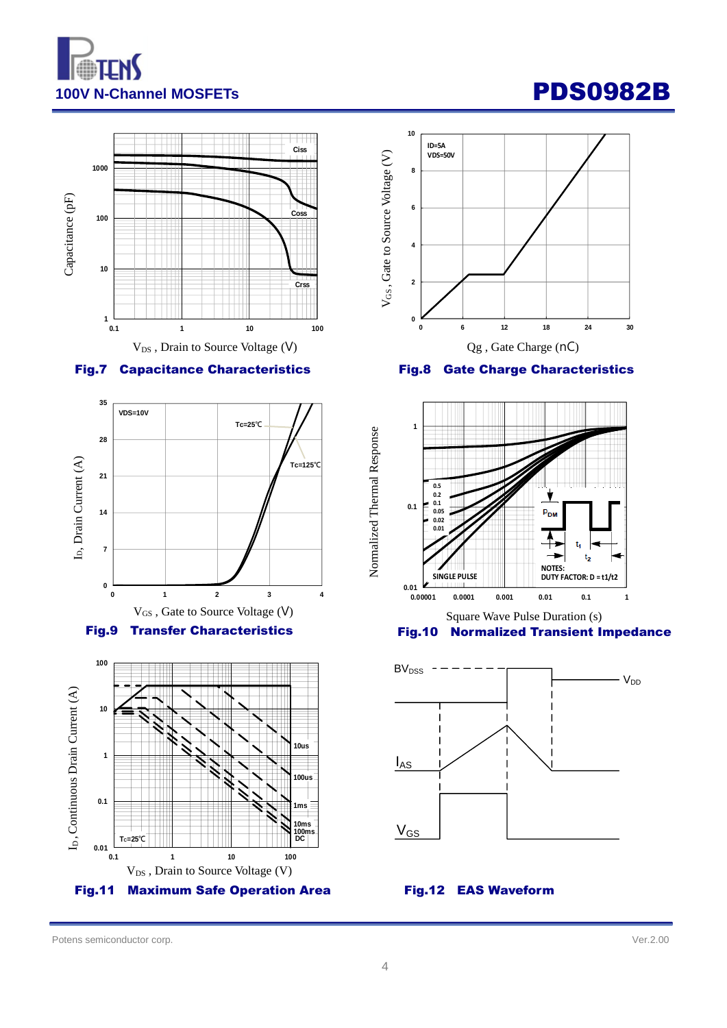





Fig.9 Transfer Characteristics





#### Fig.8 Gate Charge Characteristics



Square Wave Pulse Duration (s)



Potens semiconductor corp. Ver.2.00

Normalized Thermal Response

Normalized Thermal Response